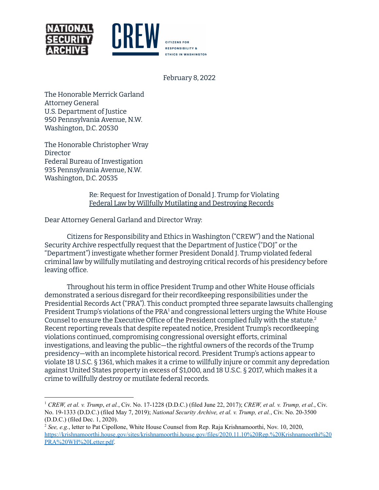

February 8, 2022

The Honorable Merrick Garland Attorney General U.S. Department of Justice 950 Pennsylvania Avenue, N.W. Washington, D.C. 20530

The Honorable Christopher Wray Director Federal Bureau of Investigation 935 Pennsylvania Avenue, N.W. Washington, D.C. 20535

> Re: Request for Investigation of Donald J. Trump for Violating Federal Law by Willfully Mutilating and Destroying Records

Dear Attorney General Garland and Director Wray:

Citizens for Responsibility and Ethics in Washington ("CREW") and the National Security Archive respectfully request that the Department of Justice ("DOJ" or the "Department") investigate whether former President Donald J. Trump violated federal criminal law by willfully mutilating and destroying critical records of his presidency before leaving office.

Throughout his term in office President Trump and other White House officials demonstrated a serious disregard for their recordkeeping responsibilities under the Presidential Records Act ("PRA"). This conduct prompted three separate lawsuits challenging President Trump's violations of the PRA<sup>1</sup> and congressional letters urging the White House Counsel to ensure the Executive Office of the President complied fully with the statute. 2 Recent reporting reveals that despite repeated notice, President Trump's recordkeeping violations continued, compromising congressional oversight efforts, criminal investigations, and leaving the public—the rightful owners of the records of the Trump presidency—with an incomplete historical record. President Trump's actions appear to violate 18 U.S.C. § 1361, which makes it a crime to willfully injure or commit any depredation against United States property in excess of \$1,000, and 18 U.S.C. § 2017, which makes it a crime to willfully destroy or mutilate federal records.

<sup>1</sup> *CREW, et al. v. Trump*, *et al.*, Civ. No. 17-1228 (D.D.C.) (filed June 22, 2017); *CREW, et al. v. Trump, et al.*, Civ. No. 19-1333 (D.D.C.) (filed May 7, 2019); *National Security Archive, et al. v. Trump, et al.*, Civ. No. 20-3500 (D.D.C.) (filed Dec. 1, 2020).

<sup>2</sup> *See, e.g.*, letter to Pat Cipollone, White House Counsel from Rep. Raja Krishnamoorthi, Nov. 10, 2020, [https://krishnamoorthi.house.gov/sites/krishnamoorthi.house.gov/files/2020.11.10%20Rep.%20Krishnamoorthi%20](https://krishnamoorthi.house.gov/sites/krishnamoorthi.house.gov/files/2020.11.10%20Rep.%20Krishnamoorthi%20PRA%20WH%20Letter.pdf) [PRA%20WH%20Letter.pdf.](https://krishnamoorthi.house.gov/sites/krishnamoorthi.house.gov/files/2020.11.10%20Rep.%20Krishnamoorthi%20PRA%20WH%20Letter.pdf)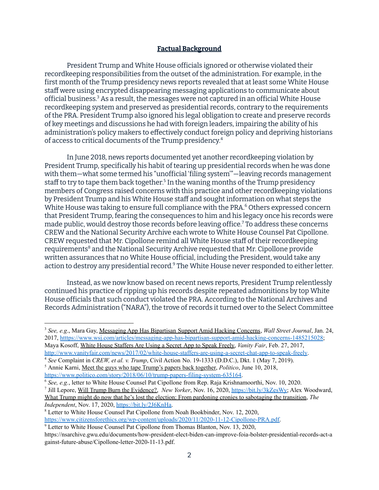### **Factual Background**

President Trump and White House officials ignored or otherwise violated their recordkeeping responsibilities from the outset of the administration. For example, in the first month of the Trump presidency news reports revealed that at least some White House staff were using encrypted disappearing messaging applications to communicate about official business.<sup>3</sup> As a result, the messages were not captured in an official White House recordkeeping system and preserved as presidential records, contrary to the requirements of the PRA. President Trump also ignored his legal obligation to create and preserve records of key meetings and discussions he had with foreign leaders, impairing the ability of his administration's policy makers to effectively conduct foreign policy and depriving historians of access to critical documents of the Trump presidency. 4

In June 2018, news reports documented yet another recordkeeping violation by President Trump, specifically his habit of tearing up presidential records when he was done with them—what some termed his "unofficial 'filing system'"—leaving records management staff to try to tape them back together.<sup>5</sup> In the waning months of the Trump presidency members of Congress raised concerns with this practice and other recordkeeping violations by President Trump and his White House staff and sought information on what steps the White House was taking to ensure full compliance with the PRA.<sup>6</sup> Others expressed concern that President Trump, fearing the consequences to him and his legacy once his records were made public, would destroy those records before leaving office.<sup>7</sup> To address these concerns CREW and the National Security Archive each wrote to White House Counsel Pat Cipollone. CREW requested that Mr. Cipollone remind all White House staff of their recordkeeping requirements<sup>8</sup> and the National Security Archive requested that Mr. Cipollone provide written assurances that no White House official, including the President, would take any action to destroy any presidential record.<sup>9</sup> The White House never responded to either letter.

Instead, as we now know based on recent news reports, President Trump relentlessly continued his practice of ripping up his records despite repeated admonitions by top White House officials that such conduct violated the PRA. According to the National Archives and Records Administration ("NARA"), the trove of records it turned over to the Select Committee

<sup>3</sup> *See, e.g*., Mara Gay, Messaging App Has Bipartisan Support Amid Hacking Concerns, *Wall Street Journal*, Jan. 24, 2017, htttps://www.wsj.com/articles/messaging-app-has-bipartisan-support-amid-hacking-concerns-1485215028; Maya Kosoff, White House Staffers Are Using a Secret App to Speak Freely, *Vanity Fair*, Feb. 27, 2017, [http://www.vanityfair.com/news/2017/02/white-house-staffers-are-using-a-secret-chat-app-to-speak-freely.](http://www.vanityfair.com/news/2017/02/white-house-staffers-are-using-a-secret-chat-app-to-speak-freely)

<sup>4</sup> *See* Complaint in *CREW, et al. v. Trump*, Civil Action No. 19-1333 (D.D.C.), Dkt. 1 (May 7, 2019).

<sup>5</sup> Annie Karni, Meet the guys who tape Trump's papers back together, *Politico*, June 10, 2018, <https://www.politico.com/story/2018/06/10/trump-papers-filing-system-635164>.

<sup>6</sup> *See, e.g.*, letter to White House Counsel Pat Cipollone from Rep. Raja Krishnamoorthi, Nov. 10, 2020.

<sup>7</sup> Jill Lepore, Will Trump Burn the Evidence?, *New Yorker*, Nov. 16, 2020, [https://bit.ly/3kZesWy;](https://bit.ly/3kZesWy) Alex Woodward, What Trump might do now that he's lost the election: From pardoning cronies to sabotaging the transition, *The Independent*, Nov. 17, 2020, <https://bit.ly/2J6KnHa>.

<sup>8</sup> Letter to White House Counsel Pat Cipollone from Noah Bookbinder, Nov. 12, 2020, [https://www.citizensforethics.org/wp-content/uploads/2020/11/2020-11-12-Cipollone-PRA.pdf.](https://www.citizensforethics.org/wp-content/uploads/2020/11/2020-11-12-Cipollone-PRA.pdf)

<sup>9</sup> Letter to White House Counsel Pat Cipollone from Thomas Blanton, Nov. 13, 2020,

https://nsarchive.gwu.edu/documents/how-president-elect-biden-can-improve-foia-bolster-presidential-records-act-a gainst-future-abuse/Cipollone-letter-2020-11-13.pdf.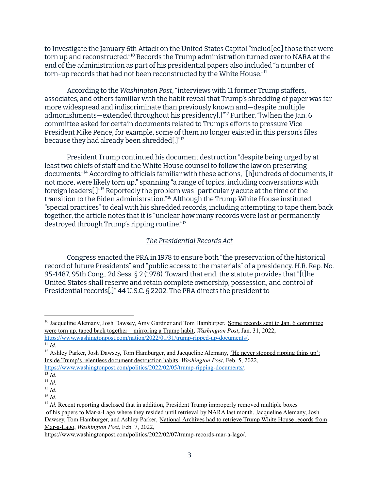to Investigate the January 6th Attack on the United States Capitol "includ[ed] those that were torn up and reconstructed."<sup>10</sup> Records the Trump administration turned over to NARA at the end of the administration as part of his presidential papers also included "a number of torn-up records that had not been reconstructed by the White House." $^{\rm n}$ 

According to the *Washington Post*, "interviews with 11 former Trump staffers, associates, and others familiar with the habit reveal that Trump's shredding of paper was far more widespread and indiscriminate than previously known and—despite multiple admonishments—extended throughout his presidency[.]"<sup>12</sup> Further, "[w]hen the Jan. 6 committee asked for certain documents related to Trump's efforts to pressure Vice President Mike Pence, for example, some of them no longer existed in this person's files because they had already been shredded[.]" 13

President Trump continued his document destruction "despite being urged by at least two chiefs of staff and the White House counsel to follow the law on preserving documents."14 According to officials familiar with these actions, "[h]undreds of documents, if not more, were likely torn up," spanning "a range of topics, including conversations with foreign leaders[.]"<sup>15</sup> Reportedly the problem was "particularly acute at the time of the transition to the Biden administration."<sup>16</sup> Although the Trump White House instituted "special practices" to deal with his shredded records, including attempting to tape them back together, the article notes that it is "unclear how many records were lost or permanently destroyed through Trump's ripping routine." 17

### *The Presidential Records Act*

Congress enacted the PRA in 1978 to ensure both "the preservation of the historical record of future Presidents" and "public access to the materials" of a presidency. H.R. Rep. No. 95-1487, 95th Cong., 2d Sess. § 2 (1978). Toward that end, the statute provides that "[t]he United States shall reserve and retain complete ownership, possession, and control of Presidential records[.]" 44 U.S.C. § 2202. The PRA directs the president to

<sup>&</sup>lt;sup>10</sup> Jacqueline Alemany, Josh Dawsey, Amy Gardner and Tom Hamburger, Some records sent to Jan. 6 committee were torn up, taped back together—mirroring a Trump habit, *Washington Post*, Jan. 31, 2022, <https://www.washingtonpost.com/nation/2022/01/31/trump-ripped-up-documents/>.

<sup>11</sup> *Id.*

<sup>&</sup>lt;sup>12</sup> Ashley Parker, Josh Dawsey, Tom Hamburger, and Jacqueline Alemany, <u>'He never stopped ripping thins up':</u> Inside Trump's relentless document destruction habits, *Washington Post*, Feb. 5, 2022,

[https://www.washingtonpost.com/politics/2022/02/05/trump-ripping-documents/.](https://www.washingtonpost.com/politics/2022/02/05/trump-ripping-documents/)

<sup>13</sup> *Id.*

<sup>14</sup> *Id.*

<sup>15</sup> *Id.*

<sup>16</sup> *Id.*

<sup>&</sup>lt;sup>17</sup> *Id.* Recent reporting disclosed that in addition, President Trump improperly removed multiple boxes of his papers to Mar-a-Lago where they resided until retrieval by NARA last month. Jacqueline Alemany, Josh Dawsey, Tom Hamburger, and Ashley Parker, National Archives had to retrieve Trump White House records from Mar-a-Lago, *Washington Post*, Feb. 7, 2022,

https://www.washingtonpost.com/politics/2022/02/07/trump-records-mar-a-lago/.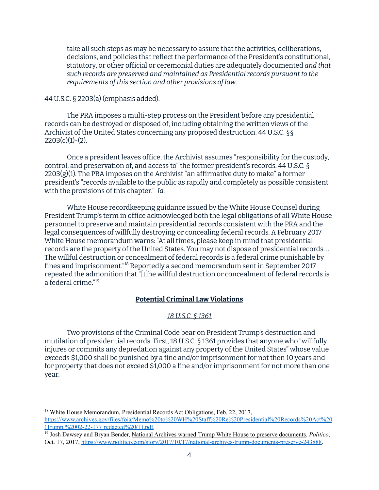take all such steps as may be necessary to assure that the activities, deliberations, decisions, and policies that reflect the performance of the President's constitutional, statutory, or other official or ceremonial duties are adequately documented *and that such records are preserved and maintained as Presidential records pursuant to the requirements of this section and other provisions of law*.

# 44 U.S.C. § 2203(a) (emphasis added).

The PRA imposes a multi-step process on the President before any presidential records can be destroyed or disposed of, including obtaining the written views of the Archivist of the United States concerning any proposed destruction. 44 U.S.C. §§  $2203(c)(1)-(2)$ .

Once a president leaves office, the Archivist assumes "responsibility for the custody, control, and preservation of, and access to" the former president's records. 44 U.S.C. § 2203(g)(1). The PRA imposes on the Archivist "an affirmative duty to make" a former president's "records available to the public as rapidly and completely as possible consistent with the provisions of this chapter." *Id.*

White House recordkeeping guidance issued by the White House Counsel during President Trump's term in office acknowledged both the legal obligations of all White House personnel to preserve and maintain presidential records consistent with the PRA and the legal consequences of willfully destroying or concealing federal records. A February 2017 White House memorandum warns: "At all times, please keep in mind that presidential records are the property of the United States. You may not dispose of presidential records. … The willful destruction or concealment of federal records is a federal crime punishable by fines and imprisonment."<sup>18</sup> Reportedly a second memorandum sent in September 2017 repeated the admonition that "[t]he willful destruction or concealment of federal records is a federal crime." 19

## **Potential Criminal Law Violations**

## *18 U.S.C. § 1361*

Two provisions of the Criminal Code bear on President Trump's destruction and mutilation of presidential records. First, 18 U.S.C. § 1361 provides that anyone who "willfully injures or commits any depredation against any property of the United States" whose value exceeds \$1,000 shall be punished by a fine and/or imprisonment for not then 10 years and for property that does not exceed \$1,000 a fine and/or imprisonment for not more than one year.

<sup>18</sup> White House Memorandum, Presidential Records Act Obligations, Feb. 22, 2017, [https://www.archives.gov/files/foia/Memo%20to%20WH%20Staff%20Re%20Presidential%20Records%20Act%20](https://www.archives.gov/files/foia/Memo%20to%20WH%20Staff%20Re%20Presidential%20Records%20Act%20(Trump,%2002-22-17)_redacted%20(1).pdf)  $(Trump$ , %2002-22-17) redacted %20(1).pdf.

<sup>19</sup> Josh Dawsey and Bryan Bender, National Archives warned Trump White House to preserve documents, *Politico*, Oct. 17, 2017, [https://www.politico.com/story/2017/10/17/national-archives-trump-documents-preserve-243888.](https://www.politico.com/story/2017/10/17/national-archives-trump-documents-preserve-243888)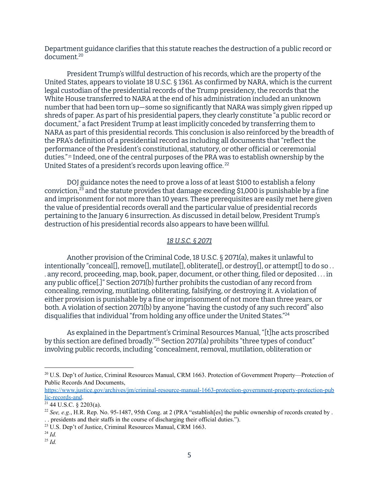Department guidance clarifies that this statute reaches the destruction of a public record or document. 20

President Trump's willful destruction of his records, which are the property of the United States, appears to violate 18 U.S.C. § 1361. As confirmed by NARA, which is the current legal custodian of the presidential records of the Trump presidency, the records that the White House transferred to NARA at the end of his administration included an unknown number that had been torn up—some so significantly that NARA was simply given ripped up shreds of paper. As part of his presidential papers, they clearly constitute "a public record or document," a fact President Trump at least implicitly conceded by transferring them to NARA as part of this presidential records. This conclusion is also reinforced by the breadth of the PRA's definition of a presidential record as including all documents that "reflect the performance of the President's constitutional, statutory, or other official or ceremonial duties."21 Indeed, one of the central purposes of the PRA was to establish ownership by the United States of a president's records upon leaving office. 22

DOJ guidance notes the need to prove a loss of at least \$100 to establish a felony conviction, $^{23}$  and the statute provides that damage exceeding \$1,000 is punishable by a fine and imprisonment for not more than 10 years. These prerequisites are easily met here given the value of presidential records overall and the particular value of presidential records pertaining to the January 6 insurrection. As discussed in detail below, President Trump's destruction of his presidential records also appears to have been willful.

# *18 U.S.C. § 2071*

Another provision of the Criminal Code, 18 U.S.C. § 2071(a), makes it unlawful to intentionally "conceal[], remove[], mutilate[], obliterate[], or destroy[], or attempt[] to do so... . any record, proceeding, map, book, paper, document, or other thing, filed or deposited . . . in any public office[.]" Section 2071(b) further prohibits the custodian of any record from concealing, removing, mutilating, obliterating, falsifying, or destroying it. A violation of either provision is punishable by a fine or imprisonment of not more than three years, or both. A violation of section 2071(b) by anyone "having the custody of any such record" also disqualifies that individual "from holding any office under the United States." 24

As explained in the Department's Criminal Resources Manual, "[t]he acts proscribed by this section are defined broadly."<sup>25</sup> Section 2071(a) prohibits "three types of conduct" involving public records, including "concealment, removal, mutilation, obliteration or

[https://www.justice.gov/archives/jm/criminal-resource-manual-1663-protection-government-property-protection-pub](https://www.justice.gov/archives/jm/criminal-resource-manual-1663-protection-government-property-protection-public-records-and) [lic-records-and](https://www.justice.gov/archives/jm/criminal-resource-manual-1663-protection-government-property-protection-public-records-and).

<sup>24</sup> *Id.*

<sup>&</sup>lt;sup>20</sup> U.S. Dep't of Justice, Criminal Resources Manual, CRM 1663. Protection of Government Property—Protection of Public Records And Documents,

 $21$  44 U.S.C. § 2203(a).

<sup>&</sup>lt;sup>22</sup> *See, e.g.*, H.R. Rep. No. 95-1487, 95th Cong. at 2 (PRA "establish[es] the public ownership of records created by . . . presidents and their staffs in the course of discharging their official duties.").

<sup>&</sup>lt;sup>23</sup> U.S. Dep't of Justice, Criminal Resources Manual, CRM 1663.

<sup>25</sup> *Id.*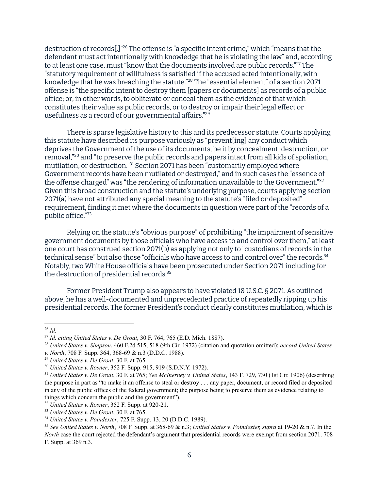destruction of records[.]"<sup>26</sup> The offense is "a specific intent crime," which "means that the defendant must act intentionally with knowledge that he is violating the law" and, according to at least one case, must "know that the documents involved are public records."<sup>27</sup> The "statutory requirement of willfulness is satisfied if the accused acted intentionally, with knowledge that he was breaching the statute."<sup>28</sup> The "essential element" of a section 2071 offense is "the specific intent to destroy them [papers or documents] as records of a public office; or, in other words, to obliterate or conceal them as the evidence of that which constitutes their value as public records, or to destroy or impair their legal effect or usefulness as a record of our governmental affairs." 29

There is sparse legislative history to this and its predecessor statute. Courts applying this statute have described its purpose variously as "prevent[ing] any conduct which deprives the Government of the use of its documents, be it by concealment, destruction, or removal,"<sup>30</sup> and "to preserve the public records and papers intact from all kids of spoliation, mutilation, or destruction."<sup>31</sup> Section 2071 has been "customarily employed where Government records have been mutilated or destroyed," and in such cases the "essence of the offense charged" was "the rendering of information unavailable to the Government." 32 Given this broad construction and the statute's underlying purpose, courts applying section 2071(a) have not attributed any special meaning to the statute's "filed or deposited" requirement, finding it met where the documents in question were part of the "records of a public office." 33

Relying on the statute's "obvious purpose" of prohibiting "the impairment of sensitive government documents by those officials who have access to and control over them," at least one court has construed section 2071(b) as applying not only to "custodians of records in the technical sense" but also those "officials who have access to and control over" the records. 34 Notably, two White House officials have been prosecuted under Section 2071 including for the destruction of presidential records. 35

Former President Trump also appears to have violated 18 U.S.C. § 2071. As outlined above, he has a well-documented and unprecedented practice of repeatedly ripping up his presidential records. The former President's conduct clearly constitutes mutilation, which is

<sup>32</sup> *United States v. Rosner*, 352 F. Supp. at 920-21.

<sup>26</sup> *Id.*

<sup>27</sup> *Id. citing United States v. De Groat*, 30 F. 764, 765 (E.D. Mich. 1887).

<sup>28</sup> *United States v. Simpson*, 460 F.2d 515, 518 (9th Cir. 1972) (citation and quotation omitted); *accord United States v. North*, 708 F. Supp. 364, 368-69 & n.3 (D.D.C. 1988).

<sup>29</sup> *United States v. De Groat*, 30 F. at 765.

<sup>30</sup> *United States v. Rosner*, 352 F. Supp. 915, 919 (S.D.N.Y. 1972).

<sup>31</sup> *United States v. De Groat*, 30 F. at 765; *See McInerney v. United States*, 143 F. 729, 730 (1st Cir. 1906) (describing the purpose in part as "to make it an offense to steal or destroy . . . any paper, document, or record filed or deposited in any of the public offices of the federal government; the purpose being to preserve them as evidence relating to things which concern the public and the government").

<sup>33</sup> *United States v. De Groat*, 30 F. at 765.

<sup>34</sup> *United States v. Poindexter*, 725 F. Supp. 13, 20 (D.D.C. 1989).

<sup>35</sup> *See United States v. North*, 708 F. Supp. at 368-69 & n.3; *United States v. Poindexter, supra* at 19-20 & n.7. In the *North* case the court rejected the defendant's argument that presidential records were exempt from section 2071. 708 F. Supp. at 369 n.3.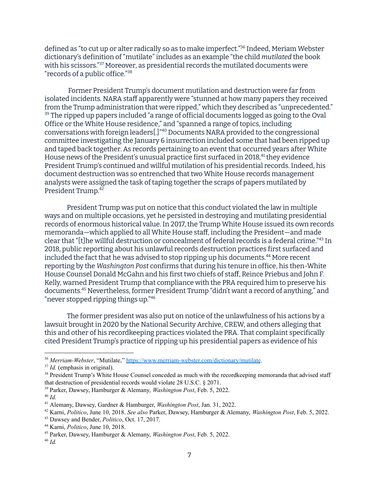defined as "to cut up or alter radically so as to make imperfect."<sup>36</sup> Indeed, Meriam Webster dictionary's definition of "mutilate" includes as an example "the child *mutilated* the book with his scissors."<sup>37</sup> Moreover, as presidential records the mutilated documents were "records of a public office." 38

Former President Trump's document mutilation and destruction were far from isolated incidents. NARA staff apparently were "stunned at how many papers they received from the Trump administration that were ripped," which they described as "unprecedented."  $^{\rm 39}$  The ripped up papers included "a range of official documents logged as going to the Oval Office or the White House residence," and "spanned a range of topics, including conversations with foreign leaders[.]"<sup>40</sup> Documents NARA provided to the congressional committee investigating the January 6 insurrection included some that had been ripped up and taped back together. As records pertaining to an event that occurred years after White House news of the President's unusual practice first surfaced in 2018,<sup>41</sup> they evidence President Trump's continued and willful mutilation of his presidential records. Indeed, his document destruction was so entrenched that two White House records management analysts were assigned the task of taping together the scraps of papers mutilated by President Trump. 42

President Trump was put on notice that this conduct violated the law in multiple ways and on multiple occasions, yet he persisted in destroying and mutilating presidential records of enormous historical value. In 2017, the Trump White House issued its own records memoranda—which applied to all White House staff, including the President—and made clear that "[t]he willful destruction or concealment of federal records is a federal crime." $^{43}$  In 2018, public reporting about his unlawful records destruction practices first surfaced and included the fact that he was advised to stop ripping up his documents.<sup>44</sup> More recent reporting by the *Washington Post* confirms that during his tenure in office, his then-White House Counsel Donald McGahn and his first two chiefs of staff, Reince Priebus and John F. Kelly, warned President Trump that compliance with the PRA required him to preserve his documents.<sup>45</sup> Nevertheless, former President Trump "didn't want a record of anything," and "never stopped ripping things up." 46

The former president was also put on notice of the unlawfulness of his actions by a lawsuit brought in 2020 by the National Security Archive, CREW, and others alleging that this and other of his recordkeeping practices violated the PRA. That complaint specifically cited President Trump's practice of ripping up his presidential papers as evidence of his

<sup>36</sup> *Merriam-Webster*, "Mutilate," <https://www.merriam-webster.com/dictionary/mutilate>.

<sup>&</sup>lt;sup>37</sup> *Id.* (emphasis in original).

<sup>&</sup>lt;sup>38</sup> President Trump's White House Counsel conceded as much with the recordkeeping memoranda that advised staff that destruction of presidential records would violate 28 U.S.C. § 2071.

<sup>39</sup> Parker, Dawsey, Hamburger & Alemany, *Washington Post*, Feb. 5, 2022.

<sup>40</sup> *Id.*

<sup>41</sup> Alemany, Dawsey, Gardner & Hamburger, *Washington Post*, Jan. 31, 2022.

<sup>42</sup> Karni, *Politico*, June 10, 2018. *See also* Parker, Dawsey, Hamburger & Alemany, *Washington Post*, Feb. 5, 2022.

<sup>43</sup> Dawsey and Bender, *Politico*, Oct. 17, 2017.

<sup>44</sup> Karni, *Politico*, June 10, 2018.

<sup>45</sup> Parker, Dawsey, Hamburger & Alemany, *Washington Post*, Feb. 5, 2022.

<sup>46</sup> *Id.*